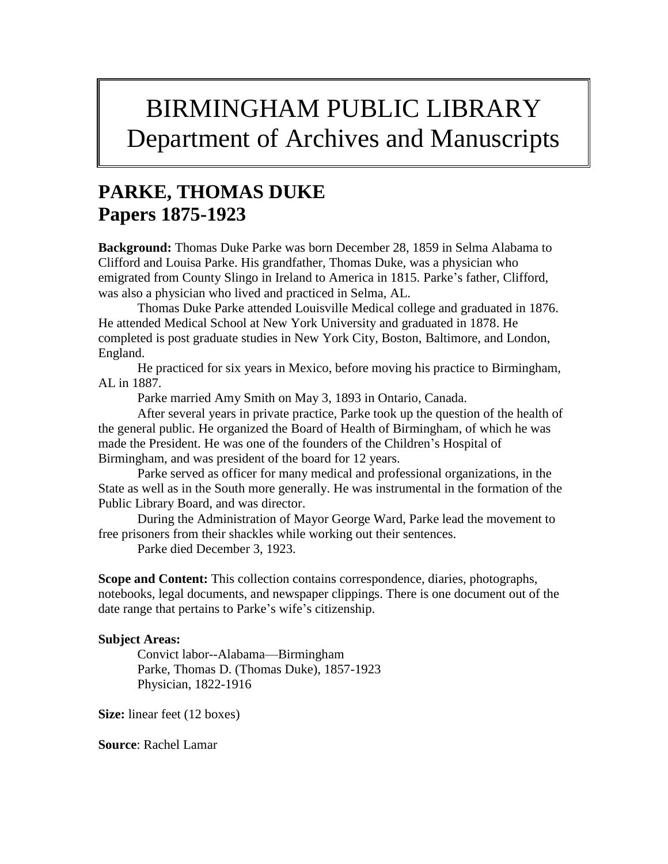## BIRMINGHAM PUBLIC LIBRARY Department of Archives and Manuscripts

## **PARKE, THOMAS DUKE Papers 1875-1923**

**Background:** Thomas Duke Parke was born December 28, 1859 in Selma Alabama to Clifford and Louisa Parke. His grandfather, Thomas Duke, was a physician who emigrated from County Slingo in Ireland to America in 1815. Parke's father, Clifford, was also a physician who lived and practiced in Selma, AL.

Thomas Duke Parke attended Louisville Medical college and graduated in 1876. He attended Medical School at New York University and graduated in 1878. He completed is post graduate studies in New York City, Boston, Baltimore, and London, England.

He practiced for six years in Mexico, before moving his practice to Birmingham, AL in 1887.

Parke married Amy Smith on May 3, 1893 in Ontario, Canada.

After several years in private practice, Parke took up the question of the health of the general public. He organized the Board of Health of Birmingham, of which he was made the President. He was one of the founders of the Children's Hospital of Birmingham, and was president of the board for 12 years.

Parke served as officer for many medical and professional organizations, in the State as well as in the South more generally. He was instrumental in the formation of the Public Library Board, and was director.

During the Administration of Mayor George Ward, Parke lead the movement to free prisoners from their shackles while working out their sentences.

Parke died December 3, 1923.

**Scope and Content:** This collection contains correspondence, diaries, photographs, notebooks, legal documents, and newspaper clippings. There is one document out of the date range that pertains to Parke's wife's citizenship.

## **Subject Areas:**

Convict labor--Alabama—Birmingham Parke, Thomas D. (Thomas Duke), 1857-1923 Physician, 1822-1916

**Size:** linear feet (12 boxes)

**Source**: Rachel Lamar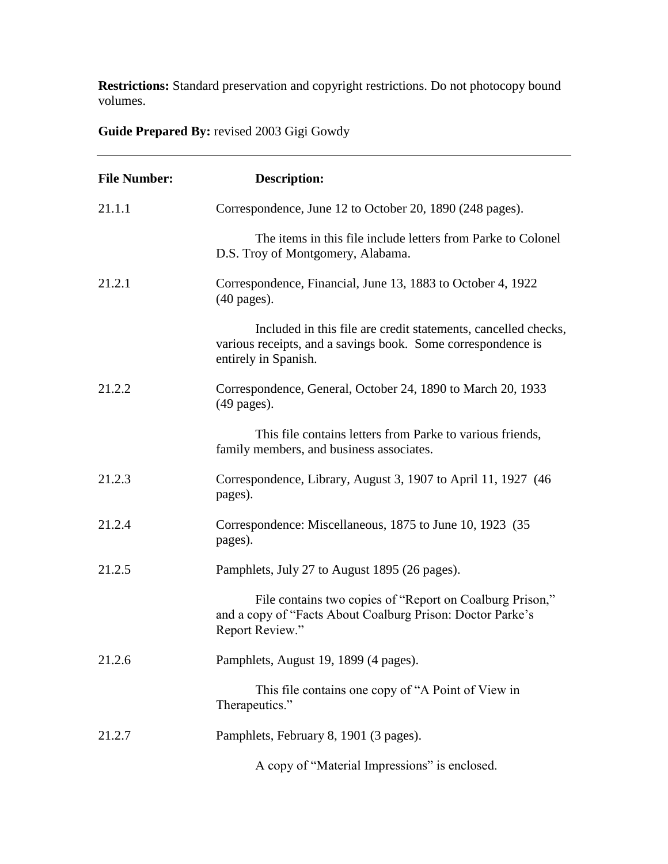**Restrictions:** Standard preservation and copyright restrictions. Do not photocopy bound volumes.

**Guide Prepared By:** revised 2003 Gigi Gowdy

| <b>File Number:</b> | <b>Description:</b>                                                                                                                                    |
|---------------------|--------------------------------------------------------------------------------------------------------------------------------------------------------|
| 21.1.1              | Correspondence, June 12 to October 20, 1890 (248 pages).                                                                                               |
|                     | The items in this file include letters from Parke to Colonel<br>D.S. Troy of Montgomery, Alabama.                                                      |
| 21.2.1              | Correspondence, Financial, June 13, 1883 to October 4, 1922<br>$(40$ pages).                                                                           |
|                     | Included in this file are credit statements, cancelled checks,<br>various receipts, and a savings book. Some correspondence is<br>entirely in Spanish. |
| 21.2.2              | Correspondence, General, October 24, 1890 to March 20, 1933<br>$(49$ pages).                                                                           |
|                     | This file contains letters from Parke to various friends,<br>family members, and business associates.                                                  |
| 21.2.3              | Correspondence, Library, August 3, 1907 to April 11, 1927 (46)<br>pages).                                                                              |
| 21.2.4              | Correspondence: Miscellaneous, 1875 to June 10, 1923 (35)<br>pages).                                                                                   |
| 21.2.5              | Pamphlets, July 27 to August 1895 (26 pages).                                                                                                          |
|                     | File contains two copies of "Report on Coalburg Prison,"<br>and a copy of "Facts About Coalburg Prison: Doctor Parke's<br>Report Review."              |
| 21.2.6              | Pamphlets, August 19, 1899 (4 pages).                                                                                                                  |
|                     | This file contains one copy of "A Point of View in<br>Therapeutics."                                                                                   |
| 21.2.7              | Pamphlets, February 8, 1901 (3 pages).                                                                                                                 |
|                     | A copy of "Material Impressions" is enclosed.                                                                                                          |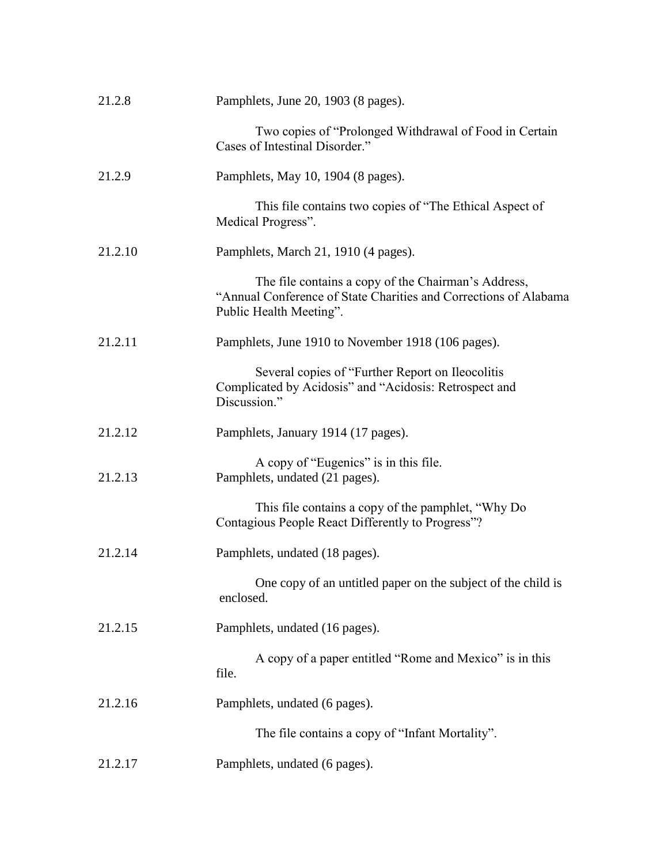| 21.2.8  | Pamphlets, June 20, 1903 (8 pages).                                                                                                                |
|---------|----------------------------------------------------------------------------------------------------------------------------------------------------|
|         | Two copies of "Prolonged Withdrawal of Food in Certain<br>Cases of Intestinal Disorder."                                                           |
| 21.2.9  | Pamphlets, May 10, 1904 (8 pages).                                                                                                                 |
|         | This file contains two copies of "The Ethical Aspect of<br>Medical Progress".                                                                      |
| 21.2.10 | Pamphlets, March 21, 1910 (4 pages).                                                                                                               |
|         | The file contains a copy of the Chairman's Address,<br>"Annual Conference of State Charities and Corrections of Alabama<br>Public Health Meeting". |
| 21.2.11 | Pamphlets, June 1910 to November 1918 (106 pages).                                                                                                 |
|         | Several copies of "Further Report on Ileocolitis"<br>Complicated by Acidosis" and "Acidosis: Retrospect and<br>Discussion."                        |
| 21.2.12 | Pamphlets, January 1914 (17 pages).                                                                                                                |
| 21.2.13 | A copy of "Eugenics" is in this file.<br>Pamphlets, undated (21 pages).                                                                            |
|         | This file contains a copy of the pamphlet, "Why Do<br>Contagious People React Differently to Progress"?                                            |
| 21.2.14 | Pamphlets, undated (18 pages).                                                                                                                     |
|         | One copy of an untitled paper on the subject of the child is<br>enclosed.                                                                          |
| 21.2.15 | Pamphlets, undated (16 pages).                                                                                                                     |
|         | A copy of a paper entitled "Rome and Mexico" is in this<br>file.                                                                                   |
| 21.2.16 | Pamphlets, undated (6 pages).                                                                                                                      |
|         | The file contains a copy of "Infant Mortality".                                                                                                    |
| 21.2.17 | Pamphlets, undated (6 pages).                                                                                                                      |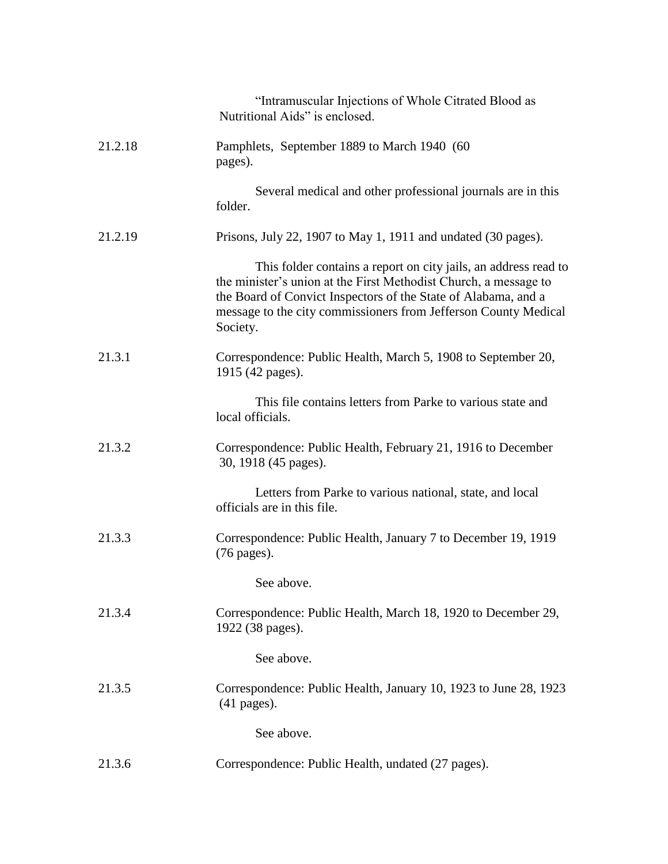|         | "Intramuscular Injections of Whole Citrated Blood as<br>Nutritional Aids" is enclosed.                                                                                                                                                                                               |
|---------|--------------------------------------------------------------------------------------------------------------------------------------------------------------------------------------------------------------------------------------------------------------------------------------|
| 21.2.18 | Pamphlets, September 1889 to March 1940 (60<br>pages).                                                                                                                                                                                                                               |
|         | Several medical and other professional journals are in this<br>folder.                                                                                                                                                                                                               |
| 21.2.19 | Prisons, July 22, 1907 to May 1, 1911 and undated (30 pages).                                                                                                                                                                                                                        |
|         | This folder contains a report on city jails, an address read to<br>the minister's union at the First Methodist Church, a message to<br>the Board of Convict Inspectors of the State of Alabama, and a<br>message to the city commissioners from Jefferson County Medical<br>Society. |
| 21.3.1  | Correspondence: Public Health, March 5, 1908 to September 20,<br>1915 (42 pages).                                                                                                                                                                                                    |
|         | This file contains letters from Parke to various state and<br>local officials.                                                                                                                                                                                                       |
| 21.3.2  | Correspondence: Public Health, February 21, 1916 to December<br>30, 1918 (45 pages).                                                                                                                                                                                                 |
|         | Letters from Parke to various national, state, and local<br>officials are in this file.                                                                                                                                                                                              |
| 21.3.3  | Correspondence: Public Health, January 7 to December 19, 1919<br>(76 pages).                                                                                                                                                                                                         |
|         | See above                                                                                                                                                                                                                                                                            |
| 21.3.4  | Correspondence: Public Health, March 18, 1920 to December 29,<br>1922 (38 pages).                                                                                                                                                                                                    |
|         | See above.                                                                                                                                                                                                                                                                           |
| 21.3.5  | Correspondence: Public Health, January 10, 1923 to June 28, 1923<br>$(41$ pages).                                                                                                                                                                                                    |
|         | See above.                                                                                                                                                                                                                                                                           |
| 21.3.6  | Correspondence: Public Health, undated (27 pages).                                                                                                                                                                                                                                   |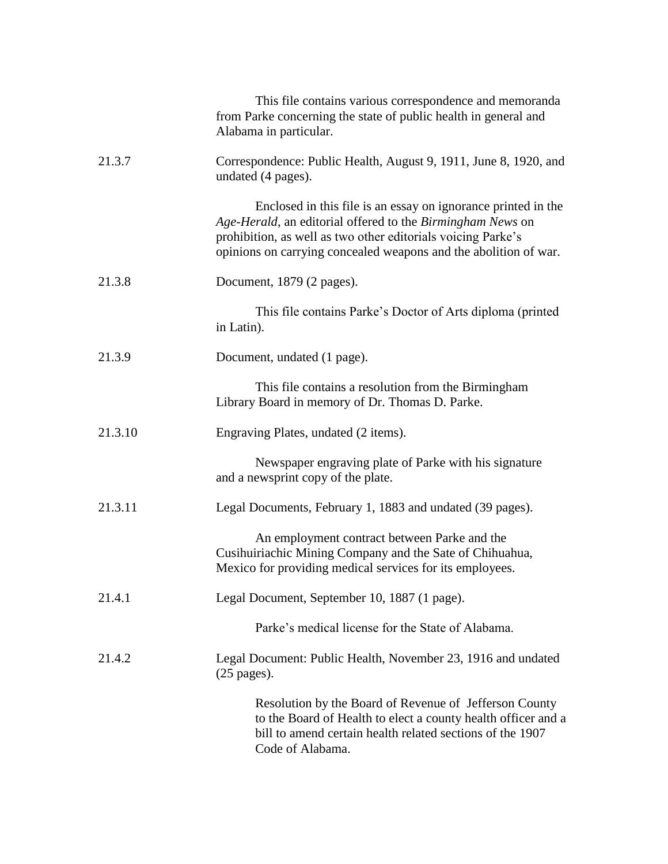|         | This file contains various correspondence and memoranda<br>from Parke concerning the state of public health in general and<br>Alabama in particular.                                                                                                            |
|---------|-----------------------------------------------------------------------------------------------------------------------------------------------------------------------------------------------------------------------------------------------------------------|
| 21.3.7  | Correspondence: Public Health, August 9, 1911, June 8, 1920, and<br>undated (4 pages).                                                                                                                                                                          |
|         | Enclosed in this file is an essay on ignorance printed in the<br>Age-Herald, an editorial offered to the Birmingham News on<br>prohibition, as well as two other editorials voicing Parke's<br>opinions on carrying concealed weapons and the abolition of war. |
| 21.3.8  | Document, 1879 (2 pages).                                                                                                                                                                                                                                       |
|         | This file contains Parke's Doctor of Arts diploma (printed<br>in Latin).                                                                                                                                                                                        |
| 21.3.9  | Document, undated (1 page).                                                                                                                                                                                                                                     |
|         | This file contains a resolution from the Birmingham<br>Library Board in memory of Dr. Thomas D. Parke.                                                                                                                                                          |
| 21.3.10 | Engraving Plates, undated (2 items).                                                                                                                                                                                                                            |
|         | Newspaper engraving plate of Parke with his signature<br>and a newsprint copy of the plate.                                                                                                                                                                     |
| 21.3.11 | Legal Documents, February 1, 1883 and undated (39 pages).                                                                                                                                                                                                       |
|         | An employment contract between Parke and the<br>Cusihuiriachic Mining Company and the Sate of Chihuahua,<br>Mexico for providing medical services for its employees.                                                                                            |
| 21.4.1  | Legal Document, September 10, 1887 (1 page).                                                                                                                                                                                                                    |
|         | Parke's medical license for the State of Alabama.                                                                                                                                                                                                               |
| 21.4.2  | Legal Document: Public Health, November 23, 1916 and undated<br>$(25 \text{ pages}).$                                                                                                                                                                           |
|         | Resolution by the Board of Revenue of Jefferson County<br>to the Board of Health to elect a county health officer and a<br>bill to amend certain health related sections of the 1907<br>Code of Alabama.                                                        |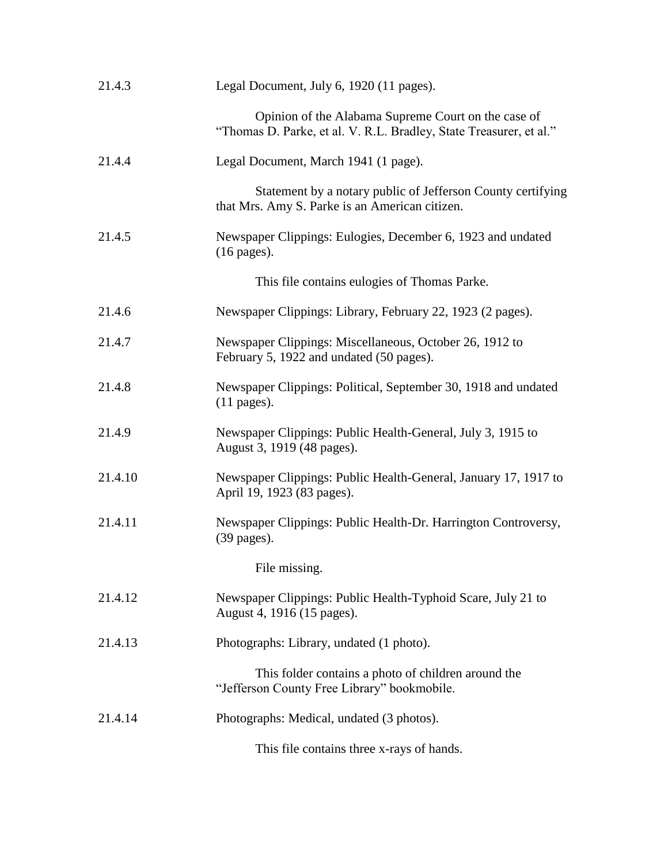| 21.4.3  | Legal Document, July 6, 1920 (11 pages).                                                                                  |
|---------|---------------------------------------------------------------------------------------------------------------------------|
|         | Opinion of the Alabama Supreme Court on the case of<br>"Thomas D. Parke, et al. V. R.L. Bradley, State Treasurer, et al." |
| 21.4.4  | Legal Document, March 1941 (1 page).                                                                                      |
|         | Statement by a notary public of Jefferson County certifying<br>that Mrs. Amy S. Parke is an American citizen.             |
| 21.4.5  | Newspaper Clippings: Eulogies, December 6, 1923 and undated<br>$(16 \text{ pages}).$                                      |
|         | This file contains eulogies of Thomas Parke.                                                                              |
| 21.4.6  | Newspaper Clippings: Library, February 22, 1923 (2 pages).                                                                |
| 21.4.7  | Newspaper Clippings: Miscellaneous, October 26, 1912 to<br>February 5, 1922 and undated (50 pages).                       |
| 21.4.8  | Newspaper Clippings: Political, September 30, 1918 and undated<br>$(11$ pages).                                           |
| 21.4.9  | Newspaper Clippings: Public Health-General, July 3, 1915 to<br>August 3, 1919 (48 pages).                                 |
| 21.4.10 | Newspaper Clippings: Public Health-General, January 17, 1917 to<br>April 19, 1923 (83 pages).                             |
| 21.4.11 | Newspaper Clippings: Public Health-Dr. Harrington Controversy,<br>$(39 \text{ pages}).$                                   |
|         | File missing.                                                                                                             |
| 21.4.12 | Newspaper Clippings: Public Health-Typhoid Scare, July 21 to<br>August 4, 1916 (15 pages).                                |
| 21.4.13 | Photographs: Library, undated (1 photo).                                                                                  |
|         | This folder contains a photo of children around the<br>"Jefferson County Free Library" bookmobile.                        |
| 21.4.14 | Photographs: Medical, undated (3 photos).                                                                                 |
|         | This file contains three x-rays of hands.                                                                                 |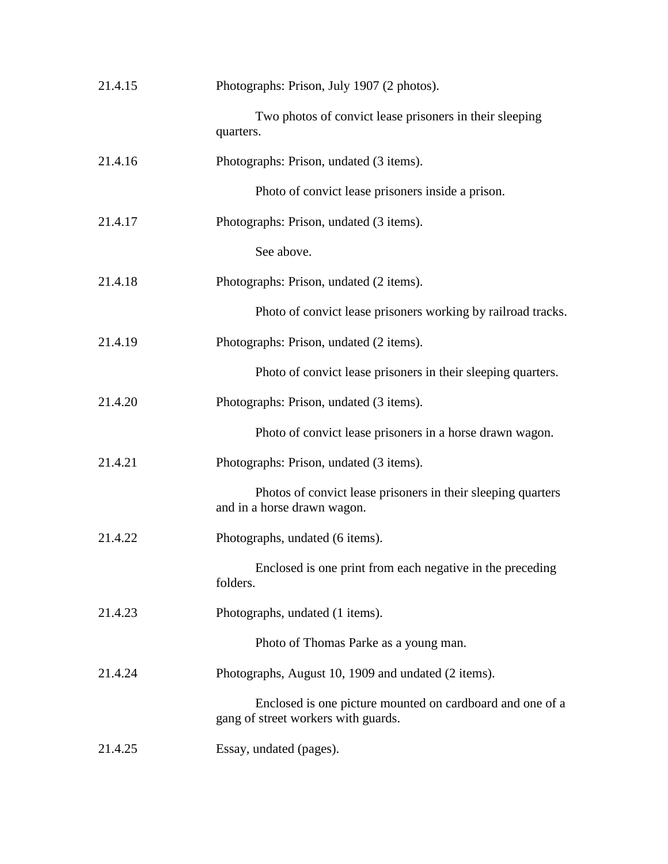| 21.4.15 | Photographs: Prison, July 1907 (2 photos).                                                       |
|---------|--------------------------------------------------------------------------------------------------|
|         | Two photos of convict lease prisoners in their sleeping<br>quarters.                             |
| 21.4.16 | Photographs: Prison, undated (3 items).                                                          |
|         | Photo of convict lease prisoners inside a prison.                                                |
| 21.4.17 | Photographs: Prison, undated (3 items).                                                          |
|         | See above.                                                                                       |
| 21.4.18 | Photographs: Prison, undated (2 items).                                                          |
|         | Photo of convict lease prisoners working by railroad tracks.                                     |
| 21.4.19 | Photographs: Prison, undated (2 items).                                                          |
|         | Photo of convict lease prisoners in their sleeping quarters.                                     |
| 21.4.20 | Photographs: Prison, undated (3 items).                                                          |
|         | Photo of convict lease prisoners in a horse drawn wagon.                                         |
| 21.4.21 | Photographs: Prison, undated (3 items).                                                          |
|         | Photos of convict lease prisoners in their sleeping quarters<br>and in a horse drawn wagon.      |
| 21.4.22 | Photographs, undated (6 items).                                                                  |
|         | Enclosed is one print from each negative in the preceding<br>folders.                            |
| 21.4.23 | Photographs, undated (1 items).                                                                  |
|         | Photo of Thomas Parke as a young man.                                                            |
| 21.4.24 | Photographs, August 10, 1909 and undated (2 items).                                              |
|         | Enclosed is one picture mounted on cardboard and one of a<br>gang of street workers with guards. |
| 21.4.25 | Essay, undated (pages).                                                                          |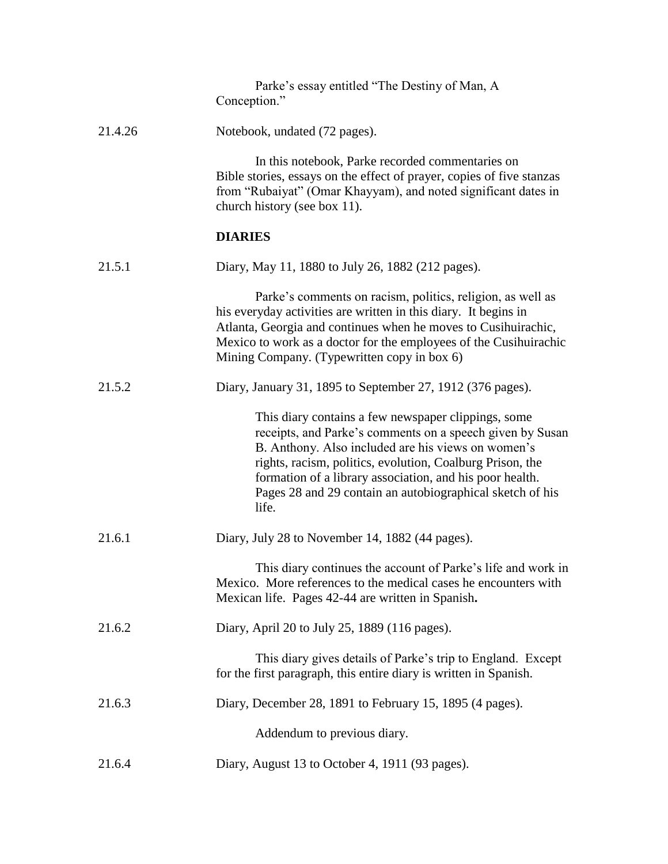|         | Parke's essay entitled "The Destiny of Man, A<br>Conception."                                                                                                                                                                                                                                                                                                         |
|---------|-----------------------------------------------------------------------------------------------------------------------------------------------------------------------------------------------------------------------------------------------------------------------------------------------------------------------------------------------------------------------|
| 21.4.26 | Notebook, undated (72 pages).                                                                                                                                                                                                                                                                                                                                         |
|         | In this notebook, Parke recorded commentaries on<br>Bible stories, essays on the effect of prayer, copies of five stanzas<br>from "Rubaiyat" (Omar Khayyam), and noted significant dates in<br>church history (see box 11).                                                                                                                                           |
|         | <b>DIARIES</b>                                                                                                                                                                                                                                                                                                                                                        |
| 21.5.1  | Diary, May 11, 1880 to July 26, 1882 (212 pages).                                                                                                                                                                                                                                                                                                                     |
|         | Parke's comments on racism, politics, religion, as well as<br>his everyday activities are written in this diary. It begins in<br>Atlanta, Georgia and continues when he moves to Cusihuirachic,<br>Mexico to work as a doctor for the employees of the Cusihuirachic<br>Mining Company. (Typewritten copy in box 6)                                                   |
| 21.5.2  | Diary, January 31, 1895 to September 27, 1912 (376 pages).                                                                                                                                                                                                                                                                                                            |
|         | This diary contains a few newspaper clippings, some<br>receipts, and Parke's comments on a speech given by Susan<br>B. Anthony. Also included are his views on women's<br>rights, racism, politics, evolution, Coalburg Prison, the<br>formation of a library association, and his poor health.<br>Pages 28 and 29 contain an autobiographical sketch of his<br>life. |
| 21.6.1  | Diary, July 28 to November 14, 1882 (44 pages).                                                                                                                                                                                                                                                                                                                       |
|         | This diary continues the account of Parke's life and work in<br>Mexico. More references to the medical cases he encounters with<br>Mexican life. Pages 42-44 are written in Spanish.                                                                                                                                                                                  |
| 21.6.2  | Diary, April 20 to July 25, 1889 (116 pages).                                                                                                                                                                                                                                                                                                                         |
|         | This diary gives details of Parke's trip to England. Except<br>for the first paragraph, this entire diary is written in Spanish.                                                                                                                                                                                                                                      |
| 21.6.3  | Diary, December 28, 1891 to February 15, 1895 (4 pages).                                                                                                                                                                                                                                                                                                              |
|         | Addendum to previous diary.                                                                                                                                                                                                                                                                                                                                           |
| 21.6.4  | Diary, August 13 to October 4, 1911 (93 pages).                                                                                                                                                                                                                                                                                                                       |